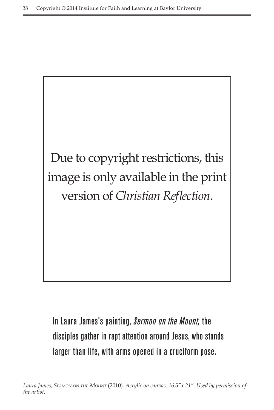

In Laura James's painting, *Sermon on the Mount,* the disciples gather in rapt attention around Jesus, who stands larger than life, with arms opened in a cruciform pose.